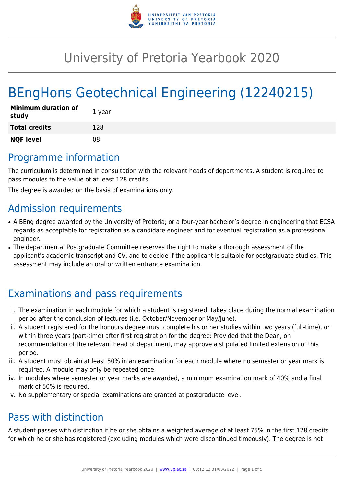

# University of Pretoria Yearbook 2020

# BEngHons Geotechnical Engineering (12240215)

| <b>Minimum duration of</b><br>study | 1 year |
|-------------------------------------|--------|
| <b>Total credits</b>                | 128    |
| <b>NQF level</b>                    | 08     |

## Programme information

The curriculum is determined in consultation with the relevant heads of departments. A student is required to pass modules to the value of at least 128 credits.

The degree is awarded on the basis of examinations only.

### Admission requirements

- A BEng degree awarded by the University of Pretoria; or a four-year bachelor's degree in engineering that ECSA regards as acceptable for registration as a candidate engineer and for eventual registration as a professional engineer.
- The departmental Postgraduate Committee reserves the right to make a thorough assessment of the applicant's academic transcript and CV, and to decide if the applicant is suitable for postgraduate studies. This assessment may include an oral or written entrance examination.

## Examinations and pass requirements

- i. The examination in each module for which a student is registered, takes place during the normal examination period after the conclusion of lectures (i.e. October/November or May/June).
- ii. A student registered for the honours degree must complete his or her studies within two years (full-time), or within three years (part-time) after first registration for the degree: Provided that the Dean, on recommendation of the relevant head of department, may approve a stipulated limited extension of this period.
- iii. A student must obtain at least 50% in an examination for each module where no semester or year mark is required. A module may only be repeated once.
- iv. In modules where semester or year marks are awarded, a minimum examination mark of 40% and a final mark of 50% is required.
- v. No supplementary or special examinations are granted at postgraduate level.

## Pass with distinction

A student passes with distinction if he or she obtains a weighted average of at least 75% in the first 128 credits for which he or she has registered (excluding modules which were discontinued timeously). The degree is not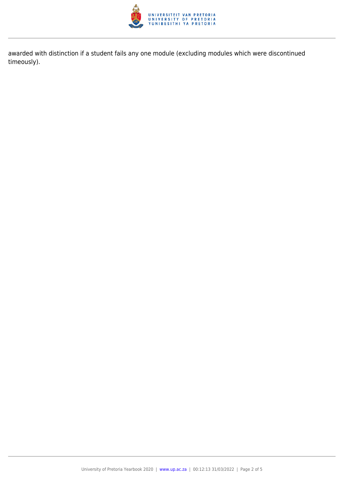

awarded with distinction if a student fails any one module (excluding modules which were discontinued timeously).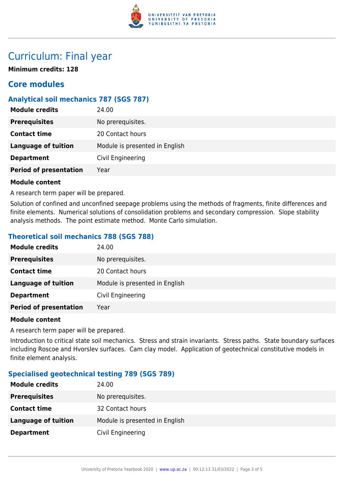

### Curriculum: Final year

**Minimum credits: 128**

### **Core modules**

#### **Analytical soil mechanics 787 (SGS 787)**

| <b>Module credits</b>         | 24.00                          |
|-------------------------------|--------------------------------|
| <b>Prerequisites</b>          | No prerequisites.              |
| <b>Contact time</b>           | 20 Contact hours               |
| <b>Language of tuition</b>    | Module is presented in English |
| <b>Department</b>             | Civil Engineering              |
| <b>Period of presentation</b> | Year                           |
|                               |                                |

#### **Module content**

A research term paper will be prepared.

Solution of confined and unconfined seepage problems using the methods of fragments, finite differences and finite elements. Numerical solutions of consolidation problems and secondary compression. Slope stability analysis methods. The point estimate method. Monte Carlo simulation.

#### **Theoretical soil mechanics 788 (SGS 788)**

| <b>Module credits</b>         | 24.00                          |
|-------------------------------|--------------------------------|
| <b>Prerequisites</b>          | No prerequisites.              |
| <b>Contact time</b>           | 20 Contact hours               |
| Language of tuition           | Module is presented in English |
| <b>Department</b>             | Civil Engineering              |
| <b>Period of presentation</b> | Year                           |

#### **Module content**

A research term paper will be prepared.

Introduction to critical state soil mechanics. Stress and strain invariants. Stress paths. State boundary surfaces including Roscoe and Hvorslev surfaces. Cam clay model. Application of geotechnical constitutive models in finite element analysis.

#### **Specialised geotechnical testing 789 (SGS 789)**

| <b>Module credits</b>      | 24.00                          |
|----------------------------|--------------------------------|
| <b>Prerequisites</b>       | No prerequisites.              |
| <b>Contact time</b>        | 32 Contact hours               |
| <b>Language of tuition</b> | Module is presented in English |
| <b>Department</b>          | Civil Engineering              |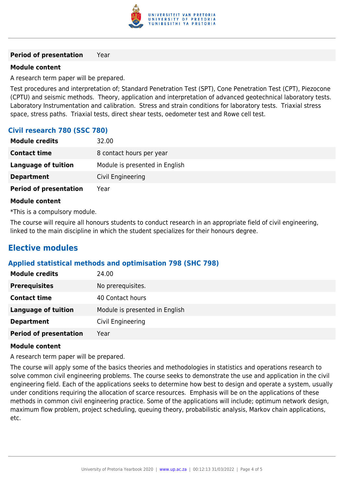

#### **Period of presentation** Year

#### **Module content**

A research term paper will be prepared.

Test procedures and interpretation of; Standard Penetration Test (SPT), Cone Penetration Test (CPT), Piezocone (CPTU) and seismic methods. Theory, application and interpretation of advanced geotechnical laboratory tests. Laboratory Instrumentation and calibration. Stress and strain conditions for laboratory tests. Triaxial stress space, stress paths. Triaxial tests, direct shear tests, oedometer test and Rowe cell test.

#### **Civil research 780 (SSC 780)**

| <b>Module credits</b>         | 32.00                          |
|-------------------------------|--------------------------------|
| <b>Contact time</b>           | 8 contact hours per year       |
| <b>Language of tuition</b>    | Module is presented in English |
| <b>Department</b>             | Civil Engineering              |
| <b>Period of presentation</b> | Year                           |

#### **Module content**

\*This is a compulsory module.

The course will require all honours students to conduct research in an appropriate field of civil engineering, linked to the main discipline in which the student specializes for their honours degree.

### **Elective modules**

#### **Applied statistical methods and optimisation 798 (SHC 798)**

| <b>Module credits</b>         | 24.00                          |
|-------------------------------|--------------------------------|
| <b>Prerequisites</b>          | No prerequisites.              |
| <b>Contact time</b>           | 40 Contact hours               |
| <b>Language of tuition</b>    | Module is presented in English |
| <b>Department</b>             | Civil Engineering              |
| <b>Period of presentation</b> | Year                           |

#### **Module content**

A research term paper will be prepared.

The course will apply some of the basics theories and methodologies in statistics and operations research to solve common civil engineering problems. The course seeks to demonstrate the use and application in the civil engineering field. Each of the applications seeks to determine how best to design and operate a system, usually under conditions requiring the allocation of scarce resources. Emphasis will be on the applications of these methods in common civil engineering practice. Some of the applications will include; optimum network design, maximum flow problem, project scheduling, queuing theory, probabilistic analysis, Markov chain applications, etc.